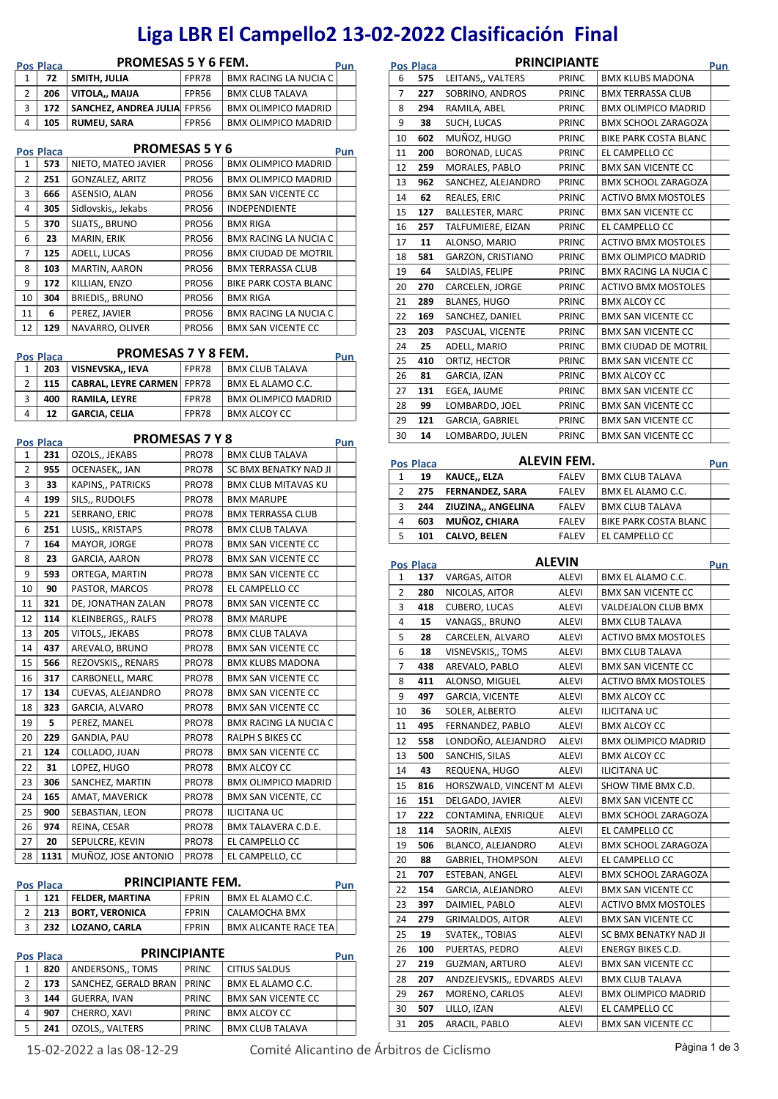## **Liga LBR El Campello2 13‐02‐2022 Clasificación Final**

|               | <b>PROMESAS 5 Y 6 FEM.</b><br><b>Pos Placa</b> |                             |       |                              | Pun |
|---------------|------------------------------------------------|-----------------------------|-------|------------------------------|-----|
| 1             | 72                                             | SMITH, JULIA                | FPR78 | <b>BMX RACING LA NUCIA C</b> |     |
| $\mathcal{P}$ | 206                                            | VITOLA MAIJA                | FPR56 | <b>BMX CLUB TALAVA</b>       |     |
| 3             | 172                                            | SANCHEZ, ANDREA JULIA FPR56 |       | <b>BMX OLIMPICO MADRID</b>   |     |
| 4             | 105                                            | <b>RUMEU, SARA</b>          | FPR56 | <b>BMX OLIMPICO MADRID</b>   |     |

|               | <b>Pos Placa</b> | <b>PROMESAS 5 Y 6</b><br>Pun |              |                              |  |
|---------------|------------------|------------------------------|--------------|------------------------------|--|
| 1             | 573              | NIETO, MATEO JAVIER          | <b>PRO56</b> | <b>BMX OLIMPICO MADRID</b>   |  |
| $\mathcal{P}$ | 251              | GONZALEZ, ARITZ              | <b>PRO56</b> | <b>BMX OLIMPICO MADRID</b>   |  |
| 3             | 666              | ASENSIO, ALAN                | <b>PRO56</b> | <b>BMX SAN VICENTE CC</b>    |  |
| 4             | 305              | Sidlovskis,, Jekabs          | <b>PRO56</b> | <b>INDEPENDIENTE</b>         |  |
| 5             | 370              | SIJATS,, BRUNO               | <b>PRO56</b> | <b>BMX RIGA</b>              |  |
| 6             | 23               | MARIN, ERIK                  | <b>PRO56</b> | <b>BMX RACING LA NUCIA C</b> |  |
| 7             | 125              | ADELL, LUCAS                 | <b>PRO56</b> | <b>BMX CIUDAD DE MOTRIL</b>  |  |
| 8             | 103              | MARTIN, AARON                | <b>PRO56</b> | <b>BMX TERRASSA CLUB</b>     |  |
| 9             | 172              | KILLIAN, ENZO                | <b>PRO56</b> | <b>BIKE PARK COSTA BLANC</b> |  |
| 10            | 304              | <b>BRIEDIS,, BRUNO</b>       | <b>PRO56</b> | <b>BMX RIGA</b>              |  |
| 11            | 6                | PEREZ. JAVIER                | <b>PRO56</b> | <b>BMX RACING LA NUCIA C</b> |  |
| 12            | 129              | NAVARRO, OLIVER              | <b>PRO56</b> | <b>BMX SAN VICENTE CC</b>    |  |

| <b>PROMESAS 7 Y 8 FEM.</b><br>Pos Placa |     |                                   |       |                            | Pun |
|-----------------------------------------|-----|-----------------------------------|-------|----------------------------|-----|
| $\mathbf{1}$                            | 203 | VISNEVSKA,, IEVA                  | FPR78 | <b>BMX CLUB TALAVA</b>     |     |
| $\mathcal{P}$                           | 115 | <b>CABRAL, LEYRE CARMEN FPR78</b> |       | BMX EL ALAMO C.C.          |     |
| 3                                       | 400 | RAMILA, LEYRE                     | FPR78 | <b>BMX OLIMPICO MADRID</b> |     |
| 4                                       | 12  | <b>GARCIA, CELIA</b>              | FPR78 | <b>BMX ALCOY CC</b>        |     |

|    | <b>Pos Placa</b> | <b>PROMESAS 7 Y 8</b> |              |                              | Pun |
|----|------------------|-----------------------|--------------|------------------------------|-----|
| 1  | 231              | OZOLS,, JEKABS        | <b>PRO78</b> | <b>BMX CLUB TALAVA</b>       |     |
| 2  | 955              | OCENASEK,, JAN        | <b>PRO78</b> | SC BMX BENATKY NAD JI        |     |
| 3  | 33               | KAPINS,, PATRICKS     | PRO78        | <b>BMX CLUB MITAVAS KU</b>   |     |
| 4  | 199              | SILS,, RUDOLFS        | <b>PRO78</b> | <b>BMX MARUPE</b>            |     |
| 5  | 221              | SERRANO, ERIC         | <b>PRO78</b> | <b>BMX TERRASSA CLUB</b>     |     |
| 6  | 251              | LUSIS,, KRISTAPS      | <b>PRO78</b> | <b>BMX CLUB TALAVA</b>       |     |
| 7  | 164              | MAYOR, JORGE          | <b>PRO78</b> | <b>BMX SAN VICENTE CC</b>    |     |
| 8  | 23               | <b>GARCIA, AARON</b>  | <b>PRO78</b> | <b>BMX SAN VICENTE CC</b>    |     |
| 9  | 593              | ORTEGA, MARTIN        | <b>PRO78</b> | <b>BMX SAN VICENTE CC</b>    |     |
| 10 | 90               | PASTOR, MARCOS        | <b>PRO78</b> | EL CAMPELLO CC               |     |
| 11 | 321              | DE, JONATHAN ZALAN    | <b>PRO78</b> | <b>BMX SAN VICENTE CC</b>    |     |
| 12 | 114              | KLEINBERGS,, RALFS    | <b>PRO78</b> | <b>BMX MARUPE</b>            |     |
| 13 | 205              | VITOLS,, JEKABS       | <b>PRO78</b> | <b>BMX CLUB TALAVA</b>       |     |
| 14 | 437              | AREVALO, BRUNO        | <b>PRO78</b> | <b>BMX SAN VICENTE CC</b>    |     |
| 15 | 566              | REZOVSKIS,, RENARS    | <b>PRO78</b> | <b>BMX KLUBS MADONA</b>      |     |
| 16 | 317              | CARBONELL, MARC       | <b>PRO78</b> | <b>BMX SAN VICENTE CC</b>    |     |
| 17 | 134              | CUEVAS, ALEJANDRO     | <b>PRO78</b> | <b>BMX SAN VICENTE CC</b>    |     |
| 18 | 323              | GARCIA, ALVARO        | <b>PRO78</b> | <b>BMX SAN VICENTE CC</b>    |     |
| 19 | 5.               | PEREZ, MANEL          | <b>PRO78</b> | <b>BMX RACING LA NUCIA C</b> |     |
| 20 | 229              | <b>GANDIA, PAU</b>    | <b>PRO78</b> | <b>RALPH S BIKES CC</b>      |     |
| 21 | 124              | COLLADO, JUAN         | <b>PRO78</b> | <b>BMX SAN VICENTE CC</b>    |     |
| 22 | 31               | LOPEZ, HUGO           | <b>PRO78</b> | <b>BMX ALCOY CC</b>          |     |
| 23 | 306              | SANCHEZ, MARTIN       | <b>PRO78</b> | <b>BMX OLIMPICO MADRID</b>   |     |
| 24 | 165              | AMAT, MAVERICK        | <b>PRO78</b> | <b>BMX SAN VICENTE, CC</b>   |     |
| 25 | 900              | SEBASTIAN, LEON       | <b>PRO78</b> | <b>ILICITANA UC</b>          |     |
| 26 | 974              | REINA, CESAR          | <b>PRO78</b> | BMX TALAVERA C.D.E.          |     |
| 27 | 20               | SEPULCRE, KEVIN       | <b>PRO78</b> | EL CAMPELLO CC               |     |
| 28 | 1131             | MUÑOZ, JOSE ANTONIO   | <b>PRO78</b> | EL CAMPELLO, CC              |     |

| <b>PRINCIPIANTE FEM.</b><br><b>Pos Placa</b> |     |                        |              |                              | Pun |
|----------------------------------------------|-----|------------------------|--------------|------------------------------|-----|
| $\mathbf{1}$                                 | 121 | <b>FELDER, MARTINA</b> | <b>FPRIN</b> | BMX EL ALAMO C.C.            |     |
| 2                                            | 213 | <b>BORT, VERONICA</b>  | <b>FPRIN</b> | CALAMOCHA BMX                |     |
| 3                                            | 232 | LOZANO, CARLA          | <b>FPRIN</b> | <b>BMX ALICANTE RACE TEA</b> |     |

| <b>PRINCIPIANTE</b><br><b>Pos Placa</b> |     |                      |              |                           | Pun |
|-----------------------------------------|-----|----------------------|--------------|---------------------------|-----|
| 1                                       | 820 | ANDERSONS, TOMS      | PRINC        | <b>CITIUS SALDUS</b>      |     |
| 2                                       | 173 | SANCHEZ, GERALD BRAN | PRINC        | BMX EL ALAMO C.C.         |     |
| 3                                       | 144 | <b>GUERRA, IVAN</b>  | PRINC        | <b>BMX SAN VICENTE CC</b> |     |
| 4                                       | 907 | CHERRO, XAVI         | PRINC        | <b>BMX ALCOY CC</b>       |     |
| 5                                       | 241 | OZOLS,, VALTERS      | <b>PRINC</b> | <b>BMX CLUB TALAVA</b>    |     |

**Pos Placa PRINCIPIANTE**<br>
6 **575** LEITANS,, VALTERS **PRINC** BMX KLUBS MADONA **575** LEITANS,, VALTERS PRINC BMX KLUBS MADONA **227** SOBRINO, ANDROS PRINC BMX TERRASSA CLUB **294** RAMILA, ABEL PRINC BMX OLIMPICO MADRID **38** SUCH, LUCAS PRINC BMX SCHOOL ZARAGOZA **602** MUÑOZ, HUGO PRINC BIKE PARK COSTA BLANC **200** BORONAD, LUCAS PRINC EL CAMPELLO CC **259** MORALES, PABLO PRINC BMX SAN VICENTE CC **962** SANCHEZ, ALEJANDRO PRINC BMX SCHOOL ZARAGOZA **62** REALES, ERIC PRINC ACTIVO BMX MOSTOLES **127** BALLESTER, MARC PRINC BMX SAN VICENTE CC **257** TALFUMIERE, EIZAN PRINC EL CAMPELLO CC **11** ALONSO, MARIO PRINC ACTIVO BMX MOSTOLES **581** GARZON, CRISTIANO PRINC BMX OLIMPICO MADRID **64** SALDIAS, FELIPE PRINC BMX RACING LA NUCIA C **270** CARCELEN, JORGE PRINC ACTIVO BMX MOSTOLES **289** BLANES, HUGO PRINC BMX ALCOY CC **169** SANCHEZ, DANIEL PRINC BMX SAN VICENTE CC **203** PASCUAL, VICENTE PRINC BMX SAN VICENTE CC **25** ADELL, MARIO **PRINC BMX CIUDAD DE MOTRIL 410** ORTIZ, HECTOR PRINC BMX SAN VICENTE CC **81** GARCIA, IZAN PRINC BMX ALCOY CC **131** EGEA, JAUME PRINC BMX SAN VICENTE CC **99** LOMBARDO, JOEL PRINC BMX SAN VICENTE CC **121** GARCIA, GABRIEL PRINC BMX SAN VICENTE CC **14** LOMBARDO, JULEN PRINC BMX SAN VICENTE CC

|              | <b>Pos Placa</b> |                     | ALEVIN FEM.  |                              | Pun |
|--------------|------------------|---------------------|--------------|------------------------------|-----|
| $\mathbf{1}$ | 19               | <b>KAUCE,, ELZA</b> | <b>FALEV</b> | <b>BMX CLUB TALAVA</b>       |     |
| 2            |                  | 275 FERNANDEZ, SARA | <b>FALEV</b> | BMX EL ALAMO C.C.            |     |
| 3            | 244              | ZIUZINA,, ANGELINA  | <b>FALEV</b> | <b>BMX CLUB TALAVA</b>       |     |
| 4            | 603              | MUÑOZ, CHIARA       | <b>FALEV</b> | <b>BIKE PARK COSTA BLANC</b> |     |
| 5            | 101              | <b>CALVO, BELEN</b> | <b>FALEV</b> | EL CAMPELLO CC               |     |

| <b>Pos Placa</b> |     | <b>ALEVIN</b>                |              |                            | Pun |
|------------------|-----|------------------------------|--------------|----------------------------|-----|
| 1                | 137 | VARGAS, AITOR                | ALEVI        | BMX EL ALAMO C.C.          |     |
| 2                | 280 | NICOLAS, AITOR               | <b>ALEVI</b> | <b>BMX SAN VICENTE CC</b>  |     |
| 3                | 418 | <b>CUBERO, LUCAS</b>         | <b>ALEVI</b> | VALDEJALON CLUB BMX        |     |
| 4                | 15  | VANAGS,, BRUNO               | <b>ALEVI</b> | <b>BMX CLUB TALAVA</b>     |     |
| 5                | 28  | CARCELEN, ALVARO             | <b>ALEVI</b> | <b>ACTIVO BMX MOSTOLES</b> |     |
| 6                | 18  | VISNEVSKIS,, TOMS            | ALEVI        | <b>BMX CLUB TALAVA</b>     |     |
| 7                | 438 | AREVALO, PABLO               | <b>ALEVI</b> | <b>BMX SAN VICENTE CC</b>  |     |
| 8                | 411 | ALONSO, MIGUEL               | <b>ALEVI</b> | <b>ACTIVO BMX MOSTOLES</b> |     |
| 9                | 497 | GARCIA, VICENTE              | ALEVI        | <b>BMX ALCOY CC</b>        |     |
| 10               | 36  | SOLER, ALBERTO               | <b>ALEVI</b> | <b>ILICITANA UC</b>        |     |
| 11               | 495 | FERNANDEZ, PABLO             | <b>ALEVI</b> | <b>BMX ALCOY CC</b>        |     |
| 12               | 558 | LONDOÑO, ALEJANDRO           | ALEVI        | <b>BMX OLIMPICO MADRID</b> |     |
| 13               | 500 | SANCHIS, SILAS               | <b>ALEVI</b> | <b>BMX ALCOY CC</b>        |     |
| 14               | 43  | REQUENA, HUGO                | <b>ALEVI</b> | <b>ILICITANA UC</b>        |     |
| 15               | 816 | HORSZWALD, VINCENT M ALEVI   |              | SHOW TIME BMX C.D.         |     |
| 16               | 151 | DELGADO, JAVIER              | <b>ALEVI</b> | <b>BMX SAN VICENTE CC</b>  |     |
| 17               | 222 | CONTAMINA, ENRIQUE           | ALEVI        | <b>BMX SCHOOL ZARAGOZA</b> |     |
| 18               | 114 | SAORIN, ALEXIS               | ALEVI        | EL CAMPELLO CC             |     |
| 19               | 506 | BLANCO, ALEJANDRO            | ALEVI        | <b>BMX SCHOOL ZARAGOZA</b> |     |
| 20               | 88  | <b>GABRIEL, THOMPSON</b>     | <b>ALEVI</b> | EL CAMPELLO CC             |     |
| 21               | 707 | ESTEBAN, ANGEL               | <b>ALEVI</b> | <b>BMX SCHOOL ZARAGOZA</b> |     |
| 22               | 154 | GARCIA, ALEJANDRO            | <b>ALEVI</b> | <b>BMX SAN VICENTE CC</b>  |     |
| 23               | 397 | DAIMIEL, PABLO               | ALEVI        | <b>ACTIVO BMX MOSTOLES</b> |     |
| 24               | 279 | <b>GRIMALDOS, AITOR</b>      | ALEVI        | <b>BMX SAN VICENTE CC</b>  |     |
| 25               | 19  | SVATEK,, TOBIAS              | <b>ALEVI</b> | SC BMX BENATKY NAD JI      |     |
| 26               | 100 | PUERTAS, PEDRO               | <b>ALEVI</b> | <b>ENERGY BIKES C.D.</b>   |     |
| 27               | 219 | <b>GUZMAN, ARTURO</b>        | <b>ALEVI</b> | <b>BMX SAN VICENTE CC</b>  |     |
| 28               | 207 | ANDZEJEVSKIS,, EDVARDS ALEVI |              | <b>BMX CLUB TALAVA</b>     |     |
| 29               | 267 | MORENO, CARLOS               | ALEVI        | <b>BMX OLIMPICO MADRID</b> |     |
| 30               | 507 | LILLO, IZAN                  | <b>ALEVI</b> | EL CAMPELLO CC             |     |
| 31               | 205 | ARACIL, PABLO                | <b>ALEVI</b> | <b>BMX SAN VICENTE CC</b>  |     |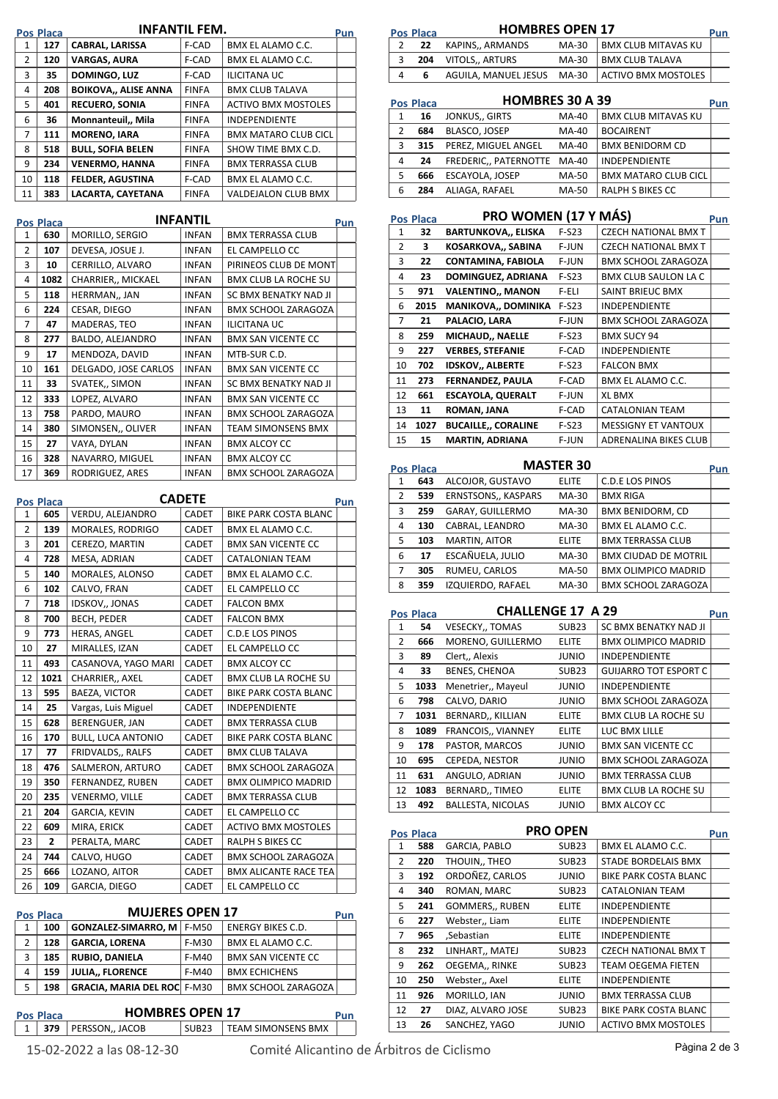|                                                                                                     | Pos Placa        |                             | INFANTIL FEM.   |                              | <u>Pun</u> |
|-----------------------------------------------------------------------------------------------------|------------------|-----------------------------|-----------------|------------------------------|------------|
| 1                                                                                                   | 127              | <b>CABRAL, LARISSA</b>      | F-CAD           | BMX EL ALAMO C.C.            |            |
| 2                                                                                                   | 120              | <b>VARGAS, AURA</b>         | F-CAD           | BMX EL ALAMO C.C.            |            |
| 3                                                                                                   | 35               | <b>DOMINGO, LUZ</b>         | F-CAD           | <b>ILICITANA UC</b>          |            |
| 4                                                                                                   | 208              | <b>BOIKOVA,, ALISE ANNA</b> | FINFA           | <b>BMX CLUB TALAVA</b>       |            |
| 5                                                                                                   | 401              | <b>RECUERO, SONIA</b>       | FINFA           | <b>ACTIVO BMX MOSTOLES</b>   |            |
| 6                                                                                                   | 36               | Monnanteuil,, Mila          | FINFA           | <b>INDEPENDIENTE</b>         |            |
| 7                                                                                                   | 111              | <b>MORENO, IARA</b>         | FINFA           | <b>BMX MATARO CLUB CICL</b>  |            |
| 8                                                                                                   | 518              | <b>BULL, SOFIA BELEN</b>    | FINFA           | SHOW TIME BMX C.D.           |            |
| 9                                                                                                   | 234              | <b>VENERMO, HANNA</b>       | FINFA           | <b>BMX TERRASSA CLUB</b>     |            |
| 10                                                                                                  | 118              | <b>FELDER, AGUSTINA</b>     | F-CAD           | BMX EL ALAMO C.C.            |            |
| 11                                                                                                  | 383              | LACARTA, CAYETANA           | FINFA           | VALDEJALON CLUB BMX          |            |
|                                                                                                     |                  |                             | <b>INFANTIL</b> |                              |            |
| 1                                                                                                   | Pos Placa<br>630 | MORILLO, SERGIO             | INFAN           | <b>BMX TERRASSA CLUB</b>     | Pun        |
| 2                                                                                                   | 107              | DEVESA, JOSUE J.            | <b>INFAN</b>    | EL CAMPELLO CC               |            |
| 3                                                                                                   | 10               | CERRILLO, ALVARO            | <b>INFAN</b>    | PIRINEOS CLUB DE MONT        |            |
| 4                                                                                                   | 1082             | CHARRIER,, MICKAEL          | <b>INFAN</b>    | BMX CLUB LA ROCHE SU         |            |
| 5                                                                                                   | 118              | HERRMAN,, JAN               | <b>INFAN</b>    | SC BMX BENATKY NAD JI        |            |
| 6                                                                                                   | 224              | CESAR, DIEGO                | INFAN           | <b>BMX SCHOOL ZARAGOZA</b>   |            |
| 7                                                                                                   | 47               | MADERAS, TEO                | INFAN           | <b>ILICITANA UC</b>          |            |
| 8                                                                                                   | 277              | BALDO, ALEJANDRO            | INFAN           | <b>BMX SAN VICENTE CC</b>    |            |
| 9                                                                                                   | 17               | MENDOZA, DAVID              | INFAN           | MTB-SUR C.D.                 |            |
| 10                                                                                                  | 161              | DELGADO, JOSE CARLOS        | INFAN           | <b>BMX SAN VICENTE CC</b>    |            |
| 11                                                                                                  | 33               | SVATEK,, SIMON              | INFAN           | SC BMX BENATKY NAD JI        |            |
| 12                                                                                                  | 333              | LOPEZ, ALVARO               | <b>INFAN</b>    | <b>BMX SAN VICENTE CC</b>    |            |
| 13                                                                                                  | 758              | PARDO, MAURO                | INFAN           | <b>BMX SCHOOL ZARAGOZA</b>   |            |
| 14                                                                                                  | 380              | SIMONSEN,, OLIVER           | <b>INFAN</b>    | <b>TEAM SIMONSENS BMX</b>    |            |
| 15                                                                                                  | 27               | VAYA, DYLAN                 | <b>INFAN</b>    | <b>BMX ALCOY CC</b>          |            |
| 16                                                                                                  | 328              | NAVARRO, MIGUEL             | INFAN           | <b>BMX ALCOY CC</b>          |            |
| 17                                                                                                  | 369              | RODRIGUEZ, ARES             | <b>INFAN</b>    | <b>BMX SCHOOL ZARAGOZA</b>   |            |
| <b>CADETE</b><br>Pos Placa<br>605<br>VERDU, ALEJANDRO<br>CADET<br><b>BIKE PARK COSTA BLANC</b><br>1 |                  |                             |                 |                              | Pun        |
| 2                                                                                                   | 139              | MORALES, RODRIGO            | CADET           | BMX EL ALAMO C.C.            |            |
| 3                                                                                                   | 201              | CEREZO, MARTIN              | CADET           | <b>BMX SAN VICENTE CC</b>    |            |
| 4                                                                                                   | 728              | MESA, ADRIAN                | <b>CADET</b>    | CATALONIAN TEAM              |            |
| 5                                                                                                   | 140              | MORALES, ALONSO             | CADET           | BMX EL ALAMO C.C.            |            |
| 6                                                                                                   | 102              | CALVO, FRAN                 | CADET           | EL CAMPELLO CC               |            |
| 7                                                                                                   | 718              | <b>IDSKOV,, JONAS</b>       | CADET           | <b>FALCON BMX</b>            |            |
| 8                                                                                                   | 700              | BECH, PEDER                 | CADET           | <b>FALCON BMX</b>            |            |
| 9                                                                                                   | 773              | HERAS, ANGEL                | CADET           | C.D.E LOS PINOS              |            |
| 10                                                                                                  | 27               | MIRALLES, IZAN              | CADET           | EL CAMPELLO CC               |            |
| 11                                                                                                  | 493              | CASANOVA, YAGO MARI         | CADET           | <b>BMX ALCOY CC</b>          |            |
| 12                                                                                                  | 1021             | CHARRIER,, AXEL             | CADET           | BMX CLUB LA ROCHE SU         |            |
| 13                                                                                                  | 595              | BAEZA, VICTOR               | CADET           | BIKE PARK COSTA BLANC        |            |
| 14                                                                                                  | 25               | Vargas, Luis Miguel         | CADET           | <b>INDEPENDIENTE</b>         |            |
| 15                                                                                                  | 628              | BERENGUER, JAN              | CADET           | <b>BMX TERRASSA CLUB</b>     |            |
| 16                                                                                                  | 170              | BULL, LUCA ANTONIO          | CADET           | BIKE PARK COSTA BLANC        |            |
| 17                                                                                                  | 77               | FRIDVALDS,, RALFS           | CADET           | <b>BMX CLUB TALAVA</b>       |            |
| 18                                                                                                  | 476              | SALMERON, ARTURO            | CADET           | <b>BMX SCHOOL ZARAGOZA</b>   |            |
| 19                                                                                                  | 350              | FERNANDEZ, RUBEN            | CADET           | <b>BMX OLIMPICO MADRID</b>   |            |
| 20                                                                                                  | 235              | VENERMO, VILLE              | CADET           | <b>BMX TERRASSA CLUB</b>     |            |
| 21                                                                                                  | 204              | GARCIA, KEVIN               | CADET           | EL CAMPELLO CC               |            |
| 22                                                                                                  | 609              | MIRA, ERICK                 | CADET           | <b>ACTIVO BMX MOSTOLES</b>   |            |
| 23                                                                                                  | 2                | PERALTA, MARC               | CADET           | RALPH S BIKES CC             |            |
| 24                                                                                                  | 744              | CALVO, HUGO                 | CADET           | <b>BMX SCHOOL ZARAGOZA</b>   |            |
| 25                                                                                                  | 666              | LOZANO, AITOR               | CADET           | <b>BMX ALICANTE RACE TEA</b> |            |
| 26                                                                                                  | 109              | GARCIA, DIEGO               | CADET           | EL CAMPELLO CC               |            |
|                                                                                                     |                  |                             |                 |                              |            |
|                                                                                                     | Pos Placa        | <b>MUJERES OPEN 17</b>      |                 |                              | Pun        |
|                                                                                                     | 100              | <b>GONZALEZ-SIMARRO, M</b>  | F-M50           | ENERGY BIKES C.D.            |            |
| 1                                                                                                   |                  |                             |                 |                              |            |

|   | 100 | <b>GONZALEZ-SIMARRO, M F-M50</b>   |         | <b>ENERGY BIKES C.D.</b>   |  |
|---|-----|------------------------------------|---------|----------------------------|--|
|   | 128 | <b>GARCIA, LORENA</b>              | $F-M30$ | BMX EL ALAMO C.C.          |  |
| 3 | 185 | <b>RUBIO, DANIELA</b>              | $F-M40$ | <b>BMX SAN VICENTE CC</b>  |  |
| 4 | 159 | <b>JULIA FLORENCE</b>              | $F-M40$ | <b>BMX ECHICHENS</b>       |  |
|   | 198 | <b>GRACIA, MARIA DEL ROC</b> F-M30 |         | <b>BMX SCHOOL ZARAGOZA</b> |  |
|   |     |                                    |         |                            |  |

| <b>HOMBRES OPEN 17</b><br><b>Pos Placa</b> |  |                               |  |                          |  |
|--------------------------------------------|--|-------------------------------|--|--------------------------|--|
|                                            |  | $\vert$ 379   PERSSON,, JACOB |  | SUB23 FEAM SIMONSENS BMX |  |
|                                            |  |                               |  |                          |  |

 $\mathsf{L}$ 

| Pos Placa | <b>HOMBRES OPEN 17</b> |  |
|-----------|------------------------|--|
|           |                        |  |

| .  |                           |       |                                                | . |
|----|---------------------------|-------|------------------------------------------------|---|
| 22 | KAPINS,, ARMANDS          | MA-30 | <b>BMX CLUB MITAVAS KU</b>                     |   |
|    | <b>204</b> VITOLS, ARTURS | MA-30 | <b>BMX CLUB TALAVA</b>                         |   |
| 6. |                           |       | AGUILA, MANUEL JESUS MA-30 ACTIVO BMX MOSTOLES |   |
|    |                           |       |                                                |   |

|   | <b>HOMBRES 30 A 39</b><br><b>Pos Placa</b> |                             |       |                             |  |
|---|--------------------------------------------|-----------------------------|-------|-----------------------------|--|
| 1 | 16                                         | JONKUS,, GIRTS              | MA-40 | <b>BMX CLUB MITAVAS KU</b>  |  |
| 2 | 684                                        | BLASCO, JOSEP               | MA-40 | <b>BOCAIRENT</b>            |  |
| 3 | 315                                        | PEREZ, MIGUEL ANGEL         | MA-40 | <b>BMX BENIDORM CD</b>      |  |
| 4 | 24                                         | FREDERIC., PATERNOTTE MA-40 |       | <b>INDEPENDIENTE</b>        |  |
| 5 | 666                                        | ESCAYOLA, JOSEP             | MA-50 | <b>BMX MATARO CLUB CICL</b> |  |
| 6 | 284                                        | ALIAGA, RAFAEL              | MA-50 | <b>RALPH S BIKES CC</b>     |  |

|                | Pos Placa | PRO WOMEN (17 Y MÁS)       |         |                             | <b>Pun</b> |
|----------------|-----------|----------------------------|---------|-----------------------------|------------|
| $\mathbf{1}$   | 32        | <b>BARTUNKOVA,, ELISKA</b> | $F-S23$ | <b>CZECH NATIONAL BMX T</b> |            |
| $\overline{2}$ | 3         | KOSARKOVA,, SABINA         | F-JUN   | <b>CZECH NATIONAL BMX T</b> |            |
| 3              | 22        | <b>CONTAMINA, FABIOLA</b>  | F-JUN   | <b>BMX SCHOOL ZARAGOZA</b>  |            |
| 4              | 23        | DOMINGUEZ, ADRIANA         | $F-S23$ | <b>BMX CLUB SAULON LA C</b> |            |
| 5              | 971       | <b>VALENTINO,, MANON</b>   | F-ELI   | SAINT BRIEUC BMX            |            |
| 6              | 2015      | <b>MANIKOVA,, DOMINIKA</b> | $F-S23$ | <b>INDEPENDIENTE</b>        |            |
| 7              | 21        | PALACIO, LARA              | F-JUN   | <b>BMX SCHOOL ZARAGOZA</b>  |            |
| 8              | 259       | MICHAUD,, NAELLE           | $F-S23$ | <b>BMX SUCY 94</b>          |            |
| 9              | 227       | <b>VERBES, STEFANIE</b>    | F-CAD   | <b>INDEPENDIENTE</b>        |            |
| 10             | 702       | <b>IDSKOV,, ALBERTE</b>    | F-S23   | <b>FALCON BMX</b>           |            |
| 11             | 273       | FERNANDEZ, PAULA           | F-CAD   | BMX EL ALAMO C.C.           |            |
| 12             | 661       | <b>ESCAYOLA, QUERALT</b>   | F-JUN   | <b>XL BMX</b>               |            |
| 13             | 11        | ROMAN, JANA                | F-CAD   | <b>CATALONIAN TEAM</b>      |            |
| 14             | 1027      | <b>BUCAILLE,, CORALINE</b> | $F-S23$ | <b>MESSIGNY ET VANTOUX</b>  |            |
| 15             | 15        | <b>MARTIN, ADRIANA</b>     | F-JUN   | ADRENALINA BIKES CLUB       |            |

| <b>Pos Placa</b> |     | <b>MASTER 30</b>           |              |                             | Pun |
|------------------|-----|----------------------------|--------------|-----------------------------|-----|
| 1                | 643 | ALCOJOR, GUSTAVO           | <b>ELITE</b> | <b>C.D.E LOS PINOS</b>      |     |
| 2                | 539 | <b>ERNSTSONS,, KASPARS</b> | MA-30        | <b>BMX RIGA</b>             |     |
| 3                | 259 | <b>GARAY, GUILLERMO</b>    | MA-30        | <b>BMX BENIDORM, CD</b>     |     |
| 4                | 130 | CABRAL, LEANDRO            | MA-30        | BMX EL ALAMO C.C.           |     |
| 5                | 103 | MARTIN, AITOR              | <b>ELITE</b> | <b>BMX TERRASSA CLUB</b>    |     |
| 6                | 17  | ESCAÑUELA, JULIO           | MA-30        | <b>BMX CIUDAD DE MOTRIL</b> |     |
| 7                | 305 | RUMEU, CARLOS              | MA-50        | <b>BMX OLIMPICO MADRID</b>  |     |
| 8                | 359 | IZQUIERDO, RAFAEL          | MA-30        | <b>BMX SCHOOL ZARAGOZA</b>  |     |

|    | <b>Pos Placa</b> | <b>CHALLENGE 17 A 29</b>  |                   |                              | <b>Pun</b> |
|----|------------------|---------------------------|-------------------|------------------------------|------------|
| 1  | 54               | <b>VESECKY,, TOMAS</b>    | SUB <sub>23</sub> | SC BMX BENATKY NAD JI        |            |
| 2  | 666              | MORENO, GUILLERMO         | <b>ELITE</b>      | <b>BMX OLIMPICO MADRID</b>   |            |
| 3  | 89               | Clert,, Alexis            | <b>JUNIO</b>      | <b>INDEPENDIENTE</b>         |            |
| 4  | 33               | <b>BENES, CHENOA</b>      | SUB <sub>23</sub> | <b>GUIJARRO TOT ESPORT C</b> |            |
| 5  | 1033             | Menetrier,, Mayeul        | <b>JUNIO</b>      | <b>INDEPENDIENTE</b>         |            |
| 6  | 798              | CALVO, DARIO              | <b>JUNIO</b>      | <b>BMX SCHOOL ZARAGOZA</b>   |            |
| 7  | 1031             | BERNARD,, KILLIAN         | <b>ELITE</b>      | <b>BMX CLUB LA ROCHE SU</b>  |            |
| 8  | 1089             | <b>FRANCOIS,, VIANNEY</b> | <b>ELITE</b>      | LUC BMX LILLE                |            |
| 9  | 178              | PASTOR, MARCOS            | <b>JUNIO</b>      | <b>BMX SAN VICENTE CC</b>    |            |
| 10 | 695              | CEPEDA, NESTOR            | <b>JUNIO</b>      | <b>BMX SCHOOL ZARAGOZA</b>   |            |
| 11 | 631              | ANGULO, ADRIAN            | <b>JUNIO</b>      | <b>BMX TERRASSA CLUB</b>     |            |
| 12 | 1083             | BERNARD,, TIMEO           | <b>ELITE</b>      | <b>BMX CLUB LA ROCHE SU</b>  |            |
| 13 | 492              | <b>BALLESTA, NICOLAS</b>  | <b>JUNIO</b>      | <b>BMX ALCOY CC</b>          |            |

|    | <b>Pos Placa</b> |                        | <b>PRO OPEN</b>   |                              | Pun |
|----|------------------|------------------------|-------------------|------------------------------|-----|
| 1  | 588              | <b>GARCIA, PABLO</b>   | SUB <sub>23</sub> | BMX EL ALAMO C.C.            |     |
| 2  | 220              | THOUIN,, THEO          | SUB <sub>23</sub> | STADE BORDELAIS BMX          |     |
| 3  | 192              | ORDOÑEZ, CARLOS        | JUNIO             | BIKE PARK COSTA BLANC        |     |
| 4  | 340              | ROMAN, MARC            | SUB <sub>23</sub> | CATALONIAN TEAM              |     |
| 5  | 241              | <b>GOMMERS,, RUBEN</b> | <b>ELITE</b>      | <b>INDEPENDIENTE</b>         |     |
| 6  | 227              | Webster,, Liam         | <b>ELITE</b>      | <b>INDEPENDIENTE</b>         |     |
| 7  | 965              | Sebastian,             | <b>ELITE</b>      | <b>INDEPENDIENTE</b>         |     |
| 8  | 232              | LINHART,, MATEJ        | SUB <sub>23</sub> | <b>CZECH NATIONAL BMX T</b>  |     |
| 9  | 262              | OEGEMA,, RINKE         | SUB <sub>23</sub> | <b>TEAM OEGEMA FIETEN</b>    |     |
| 10 | 250              | Webster,, Axel         | <b>ELITE</b>      | <b>INDEPENDIENTE</b>         |     |
| 11 | 926              | MORILLO, IAN           | JUNIO             | <b>BMX TERRASSA CLUB</b>     |     |
| 12 | 27               | DIAZ. ALVARO JOSE      | SUB <sub>23</sub> | <b>BIKE PARK COSTA BLANC</b> |     |
| 13 | 26               | SANCHEZ, YAGO          | JUNIO             | <b>ACTIVO BMX MOSTOLES</b>   |     |